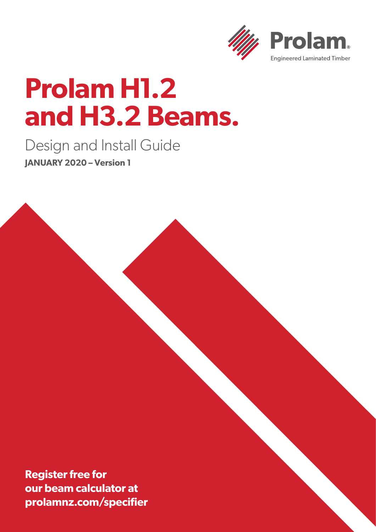

# **Prolam H1.2 and H3.2 Beams.**

Design and Install Guide **JANUARY 2020 – Version 1**

**Register free for our beam calculator at prolamnz.com/specifier**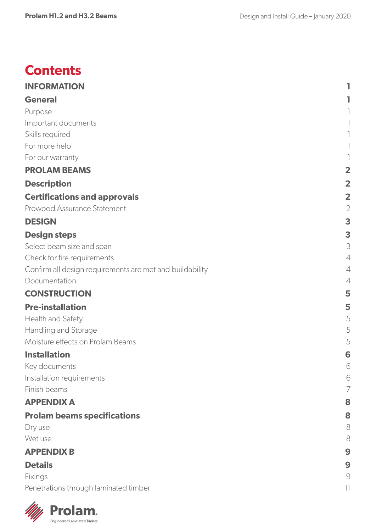### **Contents**

| <b>INFORMATION</b>                                       |                         |
|----------------------------------------------------------|-------------------------|
| <b>General</b>                                           |                         |
| Purpose                                                  |                         |
| Important documents                                      |                         |
| Skills required                                          |                         |
| For more help                                            |                         |
| For our warranty                                         |                         |
| <b>PROLAM BEAMS</b>                                      | $\overline{\mathbf{2}}$ |
| <b>Description</b>                                       | $\overline{\mathbf{2}}$ |
| <b>Certifications and approvals</b>                      | $\overline{\mathbf{2}}$ |
| Prowood Assurance Statement                              | $\overline{2}$          |
| <b>DESIGN</b>                                            | 3                       |
| <b>Design steps</b>                                      | 3                       |
| Select beam size and span                                | 3                       |
| Check for fire requirements                              | 4                       |
| Confirm all design requirements are met and buildability | $\overline{4}$          |
| Documentation                                            | $\overline{4}$          |
| <b>CONSTRUCTION</b>                                      | 5                       |
| <b>Pre-installation</b>                                  | 5                       |
| Health and Safety                                        | 5                       |
| Handling and Storage                                     | 5                       |
| Moisture effects on Prolam Beams                         | 5                       |
| <b>Installation</b>                                      | 6                       |
| Key documents                                            | 6                       |
| Installation requirements                                | 6                       |
| Finish beams                                             | 7                       |
| <b>APPENDIX A</b>                                        | 8                       |
| <b>Prolam beams specifications</b>                       | 8                       |
| Dry use                                                  | 8                       |
| Wet use                                                  | 8                       |
| <b>APPENDIX B</b>                                        | 9                       |
| <b>Details</b>                                           | 9                       |
| Fixings                                                  | $\bigcirc$              |
| Penetrations through laminated timber                    | 11                      |

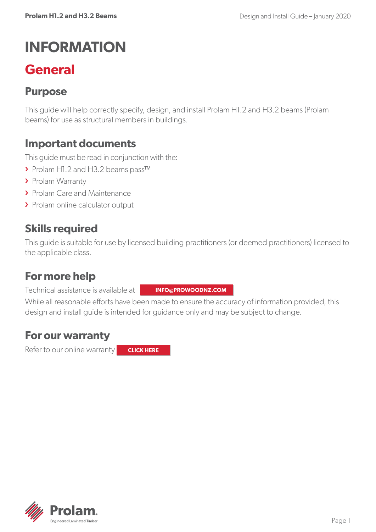# <span id="page-2-0"></span>**INFORMATION**

## **General**

### **Purpose**

This guide will help correctly specify, design, and install Prolam H1.2 and H3.2 beams (Prolam beams) for use as structural members in buildings.

### **Important documents**

This guide must be read in conjunction with the:

- › Prolam H1.2 and H3.2 beams pass™
- › Prolam Warranty
- > Prolam Care and Maintenance
- > Prolam online calculator output

### **Skills required**

This guide is suitable for use by licensed building practitioners (or deemed practitioners) licensed to the applicable class.

### **For more help**

Technical assistance is available at

**[INFO@PROWOODNZ.COM](mailto:info@prowoodnz.com)**

While all reasonable efforts have been made to ensure the accuracy of information provided, this design and install guide is intended for guidance only and may be subject to change.

### **For our warranty**

Refer to our online warranty

**CLICK HERE**

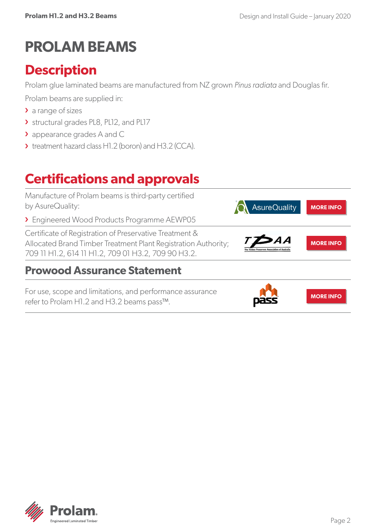# <span id="page-3-0"></span>**PROLAM BEAMS**

### **Description**

Prolam glue laminated beams are manufactured from NZ grown *Pinus radiata* and Douglas fir.

Prolam beams are supplied in:

- > a range of sizes
- › structural grades PL8, PL12, and PL17
- › appearance grades A and C
- › treatment hazard class H1.2 (boron) and H3.2 (CCA).

# **Certifications and approvals**



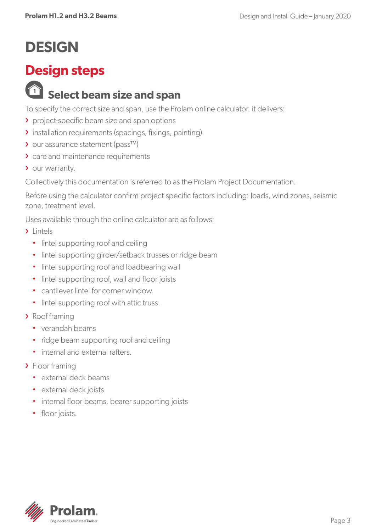# <span id="page-4-0"></span>**DESIGN**

### **Design steps**

### **<sup>1</sup> Select beam size and span**

To specify the correct size and span, use the Prolam online calculator. it delivers:

- › project-specific beam size and span options
- › installation requirements (spacings, fixings, painting)
- › our assurance statement (pass™)
- > care and maintenance requirements
- > our warranty.

Collectively this documentation is referred to as the Prolam Project Documentation.

Before using the calculator confirm project-specific factors including: loads, wind zones, seismic zone, treatment level.

Uses available through the online calculator are as follows:

- > Lintels
	- lintel supporting roof and ceiling
	- lintel supporting girder/setback trusses or ridge beam
	- lintel supporting roof and loadbearing wall
	- lintel supporting roof, wall and floor joists
	- cantilever lintel for corner window
	- lintel supporting roof with attic truss.
- › Roof framing
	- verandah beams
	- ridge beam supporting roof and ceiling
	- internal and external rafters.
- > Floor framing
	- external deck beams
	- external deck joists
	- internal floor beams, bearer supporting joists
	- floor joists.

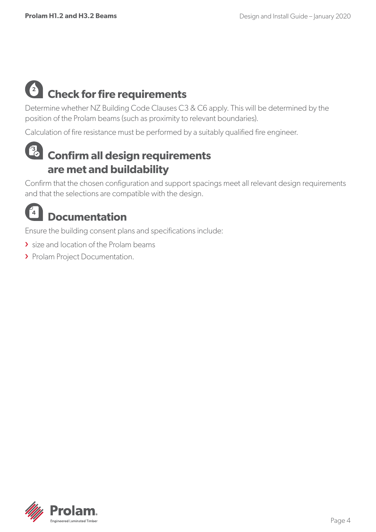#### <span id="page-5-0"></span>**2 Check for fire requirements**

Determine whether NZ Building Code Clauses C3 & C6 apply. This will be determined by the position of the Prolam beams (such as proximity to relevant boundaries).

Calculation of fire resistance must be performed by a suitably qualified fire engineer.

### **3 Confirm all design requirements are met and buildability**

Confirm that the chosen configuration and support spacings meet all relevant design requirements and that the selections are compatible with the design.



Ensure the building consent plans and specifications include:

- **>** size and location of the Prolam beams
- > Prolam Project Documentation.

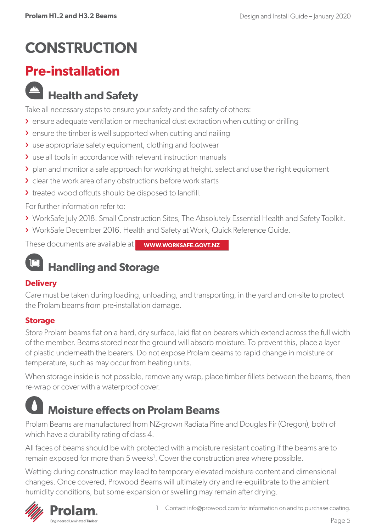# <span id="page-6-0"></span>**CONSTRUCTION**

### **Pre-installation**

### **Health and Safety**

Take all necessary steps to ensure your safety and the safety of others:

- › ensure adequate ventilation or mechanical dust extraction when cutting or drilling
- **>** ensure the timber is well supported when cutting and nailing
- › use appropriate safety equipment, clothing and footwear
- › use all tools in accordance with relevant instruction manuals
- › plan and monitor a safe approach for working at height, select and use the right equipment
- I clear the work area of any obstructions before work starts
- > treated wood offcuts should be disposed to landfill.

For further information refer to:

- › WorkSafe July 2018. Small Construction Sites, The Absolutely Essential Health and Safety Toolkit.
- › WorkSafe December 2016. Health and Safety at Work, Quick Reference Guide.

These documents are available at **WWW.WORKSAFE.GOVT.NZ**

# **Handling and Storage**

#### **Delivery**

Care must be taken during loading, unloading, and transporting, in the yard and on-site to protect the Prolam beams from pre-installation damage.

#### **Storage**

Store Prolam beams flat on a hard, dry surface, laid flat on bearers which extend across the full width of the member. Beams stored near the ground will absorb moisture. To prevent this, place a layer of plastic underneath the bearers. Do not expose Prolam beams to rapid change in moisture or temperature, such as may occur from heating units.

When storage inside is not possible, remove any wrap, place timber fillets between the beams, then re-wrap or cover with a waterproof cover.

# **Moisture effects on Prolam Beams**

Prolam Beams are manufactured from NZ-grown Radiata Pine and Douglas Fir (Oregon), both of which have a durability rating of class 4.

All faces of beams should be with protected with a moisture resistant coating if the beams are to remain exposed for more than 5 weeks<sup>1</sup>. Cover the construction area where possible.

Wetting during construction may lead to temporary elevated moisture content and dimensional changes. Once covered, Prowood Beams will ultimately dry and re-equilibrate to the ambient humidity conditions, but some expansion or swelling may remain after drying.

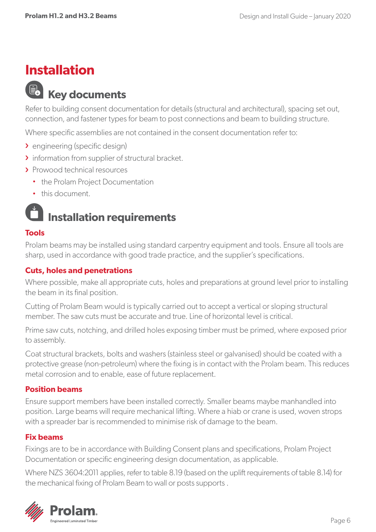### <span id="page-7-0"></span>**Installation**

### **Key documents**

Refer to building consent documentation for details (structural and architectural), spacing set out, connection, and fastener types for beam to post connections and beam to building structure.

Where specific assemblies are not contained in the consent documentation refer to:

- › engineering (specific design)
- **I** information from supplier of structural bracket.
- › Prowood technical resources
	- the Prolam Project Documentation
	- this document.

### **Installation requirements**

#### **Tools**

Prolam beams may be installed using standard carpentry equipment and tools. Ensure all tools are sharp, used in accordance with good trade practice, and the supplier's specifications.

#### **Cuts, holes and penetrations**

Where possible, make all appropriate cuts, holes and preparations at ground level prior to installing the beam in its final position.

Cutting of Prolam Beam would is typically carried out to accept a vertical or sloping structural member. The saw cuts must be accurate and true. Line of horizontal level is critical.

Prime saw cuts, notching, and drilled holes exposing timber must be primed, where exposed prior to assembly.

Coat structural brackets, bolts and washers (stainless steel or galvanised) should be coated with a protective grease (non-petroleum) where the fixing is in contact with the Prolam beam. This reduces metal corrosion and to enable, ease of future replacement.

#### **Position beams**

Ensure support members have been installed correctly. Smaller beams maybe manhandled into position. Large beams will require mechanical lifting. Where a hiab or crane is used, woven strops with a spreader bar is recommended to minimise risk of damage to the beam.

#### **Fix beams**

Fixings are to be in accordance with Building Consent plans and specifications, Prolam Project Documentation or specific engineering design documentation, as applicable.

Where NZS 3604:2011 applies, refer to table 8.19 (based on the uplift requirements of table 8.14) for the mechanical fixing of Prolam Beam to wall or posts supports .

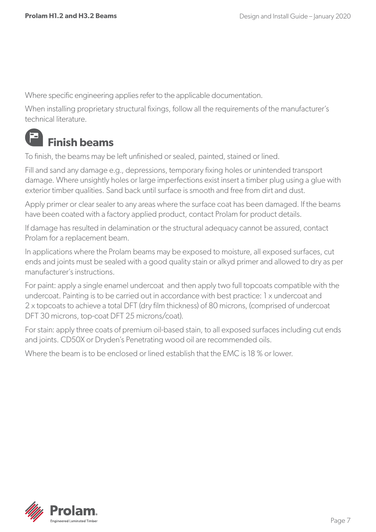<span id="page-8-0"></span>Where specific engineering applies refer to the applicable documentation.

When installing proprietary structural fixings, follow all the requirements of the manufacturer's technical literature.

#### E **Finish beams**

To finish, the beams may be left unfinished or sealed, painted, stained or lined.

Fill and sand any damage e.g., depressions, temporary fixing holes or unintended transport damage. Where unsightly holes or large imperfections exist insert a timber plug using a glue with exterior timber qualities. Sand back until surface is smooth and free from dirt and dust.

Apply primer or clear sealer to any areas where the surface coat has been damaged. If the beams have been coated with a factory applied product, contact Prolam for product details.

If damage has resulted in delamination or the structural adequacy cannot be assured, contact Prolam for a replacement beam.

In applications where the Prolam beams may be exposed to moisture, all exposed surfaces, cut ends and joints must be sealed with a good quality stain or alkyd primer and allowed to dry as per manufacturer's instructions.

For paint: apply a single enamel undercoat and then apply two full topcoats compatible with the undercoat. Painting is to be carried out in accordance with best practice: 1 x undercoat and 2 x topcoats to achieve a total DFT (dry film thickness) of 80 microns, (comprised of undercoat DFT 30 microns, top-coat DFT 25 microns/coat).

For stain: apply three coats of premium oil-based stain, to all exposed surfaces including cut ends and joints. CD50X or Dryden's Penetrating wood oil are recommended oils.

Where the beam is to be enclosed or lined establish that the EMC is 18 % or lower.

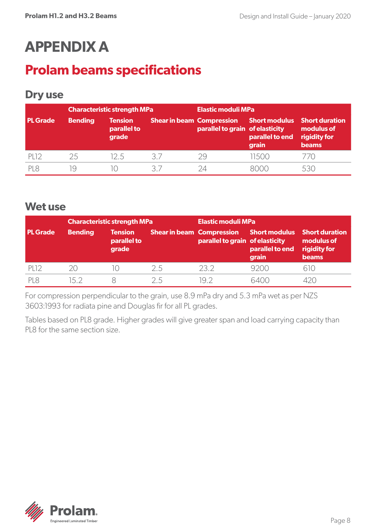# <span id="page-9-0"></span>**APPENDIX A**

### **Prolam beams specifications**

#### **Dry use**

|                  | <b>Characteristic strength MPa</b> |                                        |    | <b>Elastic moduli MPa</b>                                                                 |                          |                                            |
|------------------|------------------------------------|----------------------------------------|----|-------------------------------------------------------------------------------------------|--------------------------|--------------------------------------------|
| <b>PL</b> Grade  | <b>Bending</b>                     | <b>Tension</b><br>parallel to<br>grade |    | Shear in beam Compression Short modulus Short duration<br>parallel to grain of elasticity | parallel to end<br>grain | modulus of<br>rigidity for<br><b>beams</b> |
| PL <sub>12</sub> | 25                                 | 125                                    | 3/ | 29                                                                                        | 11500                    |                                            |
| PI8              | ΙO                                 | $\vert$ ()                             | マラ | 24                                                                                        | 8000                     |                                            |

#### **Wet use**

|                 | <b>Characteristic strength MPa</b> |                                        |                                  | Elastic moduli MPa              |                                                  |                                                                     |
|-----------------|------------------------------------|----------------------------------------|----------------------------------|---------------------------------|--------------------------------------------------|---------------------------------------------------------------------|
| <b>PL</b> Grade | <b>Bending</b>                     | <b>Tension</b><br>parallel to<br>grade | <b>Shear in beam Compression</b> | parallel to grain of elasticity | <b>Short modulus</b><br>parallel to end<br>grain | <b>Short duration</b><br>modulus of<br>rigidity for<br><b>beams</b> |
| <b>PL12</b>     | 2Ο                                 | 10                                     | 2.5                              | 232                             | 9200                                             | 61()                                                                |
| PI8             | 15 2                               |                                        | 25                               | 19 2                            | 6400                                             |                                                                     |

For compression perpendicular to the grain, use 8.9 mPa dry and 5.3 mPa wet as per NZS 3603:1993 for radiata pine and Douglas fir for all PL grades.

Tables based on PL8 grade. Higher grades will give greater span and load carrying capacity than PL8 for the same section size.

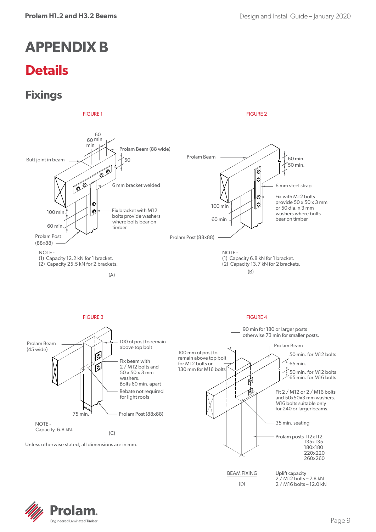# <span id="page-10-0"></span>**APPENDIX B**

### **Details**

### **Fixings**





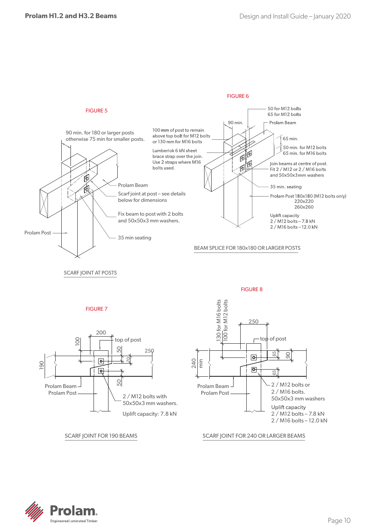

#### FIGURE 7



SCARF JOINT FOR 190 BEAMS SCARF JOINT FOR 190 BEAMS SCARF JOINT FOR 240 OR LARGER BEAMS SCARF JOINT FOR 240 OR



SCARF JOINT FOR 190 BEAMS SCARF JOINT FOR 240 OR LARGER BEAMS

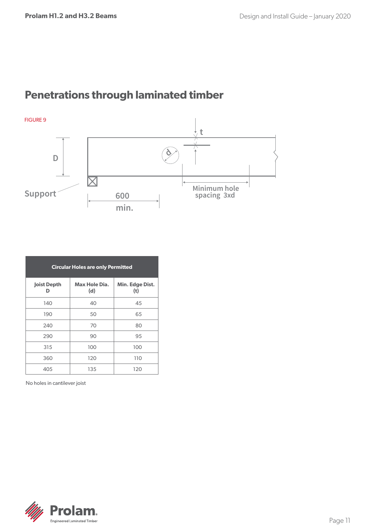### <span id="page-12-0"></span>**Penetrations through laminated timber**



| <b>Circular Holes are only Permitted</b> |                      |                        |  |
|------------------------------------------|----------------------|------------------------|--|
| <b>Joist Depth</b><br>D                  | Max Hole Dia.<br>(d) | Min. Edge Dist.<br>(t) |  |
| 140                                      | 40                   | 45                     |  |
| 190                                      | 50                   | 65                     |  |
| 240                                      | 70                   | 80                     |  |
| 290                                      | 90                   | 95                     |  |
| 315                                      | 100                  | 100                    |  |
| 360                                      | 120                  | 110                    |  |
| 405                                      | 135                  | 120                    |  |

No holes in cantilever joist